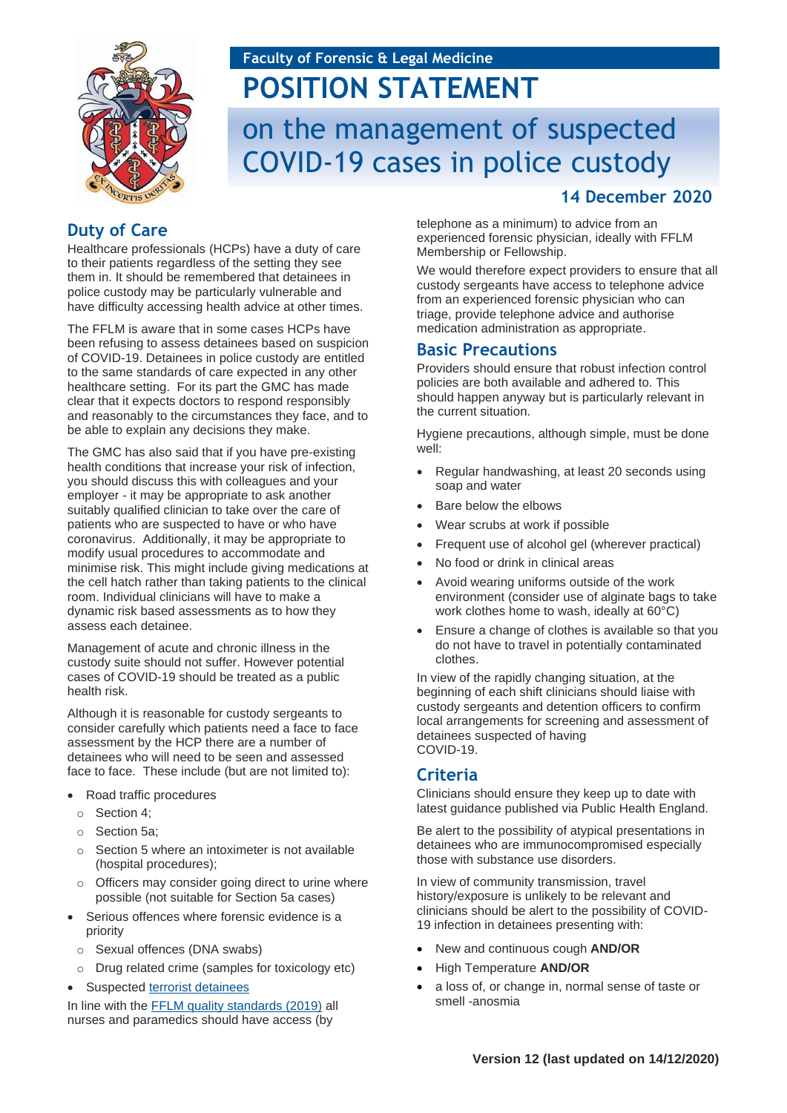

# **Faculty of Forensic & Legal Medicine POSITION STATEMENT**

on the management of suspected COVID-19 cases in police custody

## **14 December 2020**

## **Duty of Care**

Healthcare professionals (HCPs) have a duty of care to their patients regardless of the setting they see them in. It should be remembered that detainees in police custody may be particularly vulnerable and have difficulty accessing health advice at other times.

The FFLM is aware that in some cases HCPs have been refusing to assess detainees based on suspicion of COVID-19. Detainees in police custody are entitled to the same standards of care expected in any other healthcare setting. For its part the GMC has made clear that it expects doctors to respond responsibly and reasonably to the circumstances they face, and to be able to explain any decisions they make.

The GMC has also said that if you have pre-existing health conditions that increase your risk of infection, you should discuss this with colleagues and your employer - it may be appropriate to ask another suitably qualified clinician to take over the care of patients who are suspected to have or who have coronavirus. Additionally, it may be appropriate to modify usual procedures to accommodate and minimise risk. This might include giving medications at the cell hatch rather than taking patients to the clinical room. Individual clinicians will have to make a dynamic risk based assessments as to how they assess each detainee.

Management of acute and chronic illness in the custody suite should not suffer. However potential cases of COVID-19 should be treated as a public health risk.

Although it is reasonable for custody sergeants to consider carefully which patients need a face to face assessment by the HCP there are a number of detainees who will need to be seen and assessed face to face. These include (but are not limited to):

- Road traffic procedures
	- o Section 4;
	- o Section 5a;
	- $\circ$  Section 5 where an intoximeter is not available (hospital procedures);
	- o Officers may consider going direct to urine where possible (not suitable for Section 5a cases)
- Serious offences where forensic evidence is a priority
- o Sexual offences (DNA swabs)
- o Drug related crime (samples for toxicology etc)
- Suspected [terrorist detainees](https://fflm.ac.uk/wp-content/uploads/2019/05/Medical-Care-for-Persons-Detained-Under-the-Terrorism-Act-2000-TACT_May19.pdf)

In line with the [FFLM quality standards \(2019\)](https://fflm.ac.uk/publications/fflm-quality-standards-for-nurses-and-paramedics-general-forensic-medicine-gfm/) all nurses and paramedics should have access (by

telephone as a minimum) to advice from an experienced forensic physician, ideally with FFLM Membership or Fellowship.

We would therefore expect providers to ensure that all custody sergeants have access to telephone advice from an experienced forensic physician who can triage, provide telephone advice and authorise medication administration as appropriate.

#### **Basic Precautions**

Providers should ensure that robust infection control policies are both available and adhered to. This should happen anyway but is particularly relevant in the current situation.

Hygiene precautions, although simple, must be done well:

- Regular handwashing, at least 20 seconds using soap and water
- Bare below the elbows
- Wear scrubs at work if possible
- Frequent use of alcohol gel (wherever practical)
- No food or drink in clinical areas
- Avoid wearing uniforms outside of the work environment (consider use of alginate bags to take work clothes home to wash, ideally at 60°C)
- Ensure a change of clothes is available so that you do not have to travel in potentially contaminated clothes.

In view of the rapidly changing situation, at the beginning of each shift clinicians should liaise with custody sergeants and detention officers to confirm local arrangements for screening and assessment of detainees suspected of having COVID-19.

## **Criteria**

Clinicians should ensure they keep up to date with latest guidance published via Public Health England.

Be alert to the possibility of atypical presentations in detainees who are immunocompromised especially those with substance use disorders.

In view of community transmission, travel history/exposure is unlikely to be relevant and clinicians should be alert to the possibility of COVID-19 infection in detainees presenting with:

- New and continuous cough **AND/OR**
- High Temperature **AND/OR**
- a loss of, or change in, normal sense of taste or smell -anosmia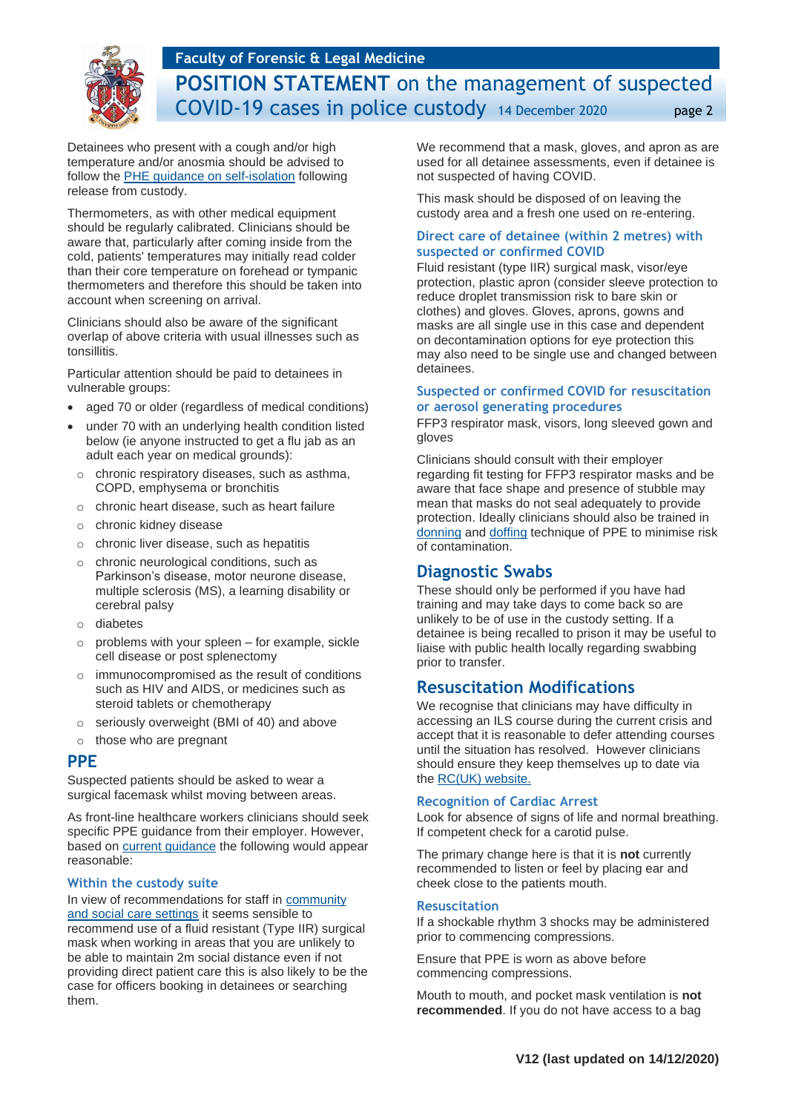

# **Faculty of Forensic & Legal Medicine POSITION STATEMENT** on the management of suspected COVID-19 cases in police custody <sup>14</sup> December 2020 page 2

Detainees who present with a cough and/or high temperature and/or anosmia should be advised to follow the [PHE guidance on self-isolation](https://www.gov.uk/government/publications/covid-19-stay-at-home-guidance/stay-at-home-guidance-for-households-with-possible-coronavirus-covid-19-infection) following release from custody.

Thermometers, as with other medical equipment should be regularly calibrated. Clinicians should be aware that, particularly after coming inside from the cold, patients' temperatures may initially read colder than their core temperature on forehead or tympanic thermometers and therefore this should be taken into account when screening on arrival.

Clinicians should also be aware of the significant overlap of above criteria with usual illnesses such as tonsillitis.

Particular attention should be paid to detainees in vulnerable groups:

- aged 70 or older (regardless of medical conditions)
- under 70 with an underlying health condition listed below (ie anyone instructed to get a flu jab as an adult each year on medical grounds):
- o chronic respiratory diseases, such as asthma, COPD, emphysema or bronchitis
- o chronic heart disease, such as heart failure
- o chronic kidney disease
- o chronic liver disease, such as hepatitis
- o chronic neurological conditions, such as Parkinson's disease, motor neurone disease, multiple sclerosis (MS), a learning disability or cerebral palsy
- o diabetes
- $\circ$  problems with your spleen for example, sickle cell disease or post splenectomy
- o immunocompromised as the result of conditions such as HIV and AIDS, or medicines such as steroid tablets or chemotherapy
- o seriously overweight (BMI of 40) and above
- o those who are pregnant

#### **PPE**

Suspected patients should be asked to wear a surgical facemask whilst moving between areas.

As front-line healthcare workers clinicians should seek specific PPE guidance from their employer. However, based on [current guidance](https://www.gov.uk/government/publications/wuhan-novel-coronavirus-infection-prevention-and-control/covid-19-personal-protective-equipment-ppe) the following would appear reasonable:

#### **Within the custody suite**

In view of recommendations for staff in [community](https://www.gov.uk/government/publications/personal-protective-equipment-ppe-illustrated-guide-for-community-and-social-care-settings) [and social care settings](https://www.gov.uk/government/publications/personal-protective-equipment-ppe-illustrated-guide-for-community-and-social-care-settings) it seems sensible to recommend use of a fluid resistant (Type IIR) surgical mask when working in areas that you are unlikely to be able to maintain 2m social distance even if not providing direct patient care this is also likely to be the case for officers booking in detainees or searching them.

We recommend that a mask, gloves, and apron as are used for all detainee assessments, even if detainee is not suspected of having COVID.

This mask should be disposed of on leaving the custody area and a fresh one used on re-entering.

#### **Direct care of detainee (within 2 metres) with suspected or confirmed COVID**

Fluid resistant (type IIR) surgical mask, visor/eye protection, plastic apron (consider sleeve protection to reduce droplet transmission risk to bare skin or clothes) and gloves. Gloves, aprons, gowns and masks are all single use in this case and dependent on decontamination options for eye protection this may also need to be single use and changed between detainees.

#### **Suspected or confirmed COVID for resuscitation or aerosol generating procedures**

FFP3 respirator mask, visors, long sleeved gown and gloves

Clinicians should consult with their employer regarding fit testing for FFP3 respirator masks and be aware that face shape and presence of stubble may mean that masks do not seal adequately to provide protection. Ideally clinicians should also be trained in [donning](https://youtu.be/kKz_vNGsNhc) and [doffing](https://youtu.be/oUo5O1JmLH0) technique of PPE to minimise risk of contamination.

#### **Diagnostic Swabs**

These should only be performed if you have had training and may take days to come back so are unlikely to be of use in the custody setting. If a detainee is being recalled to prison it may be useful to liaise with public health locally regarding swabbing prior to transfer.

#### **Resuscitation Modifications**

We recognise that clinicians may have difficulty in accessing an ILS course during the current crisis and accept that it is reasonable to defer attending courses until the situation has resolved. However clinicians should ensure they keep themselves up to date via the [RC\(UK\) website.](https://www.resus.org.uk/)

#### **Recognition of Cardiac Arrest**

Look for absence of signs of life and normal breathing. If competent check for a carotid pulse.

The primary change here is that it is **not** currently recommended to listen or feel by placing ear and cheek close to the patients mouth.

#### **Resuscitation**

If a shockable rhythm 3 shocks may be administered prior to commencing compressions.

Ensure that PPE is worn as above before commencing compressions.

Mouth to mouth, and pocket mask ventilation is **not recommended**. If you do not have access to a bag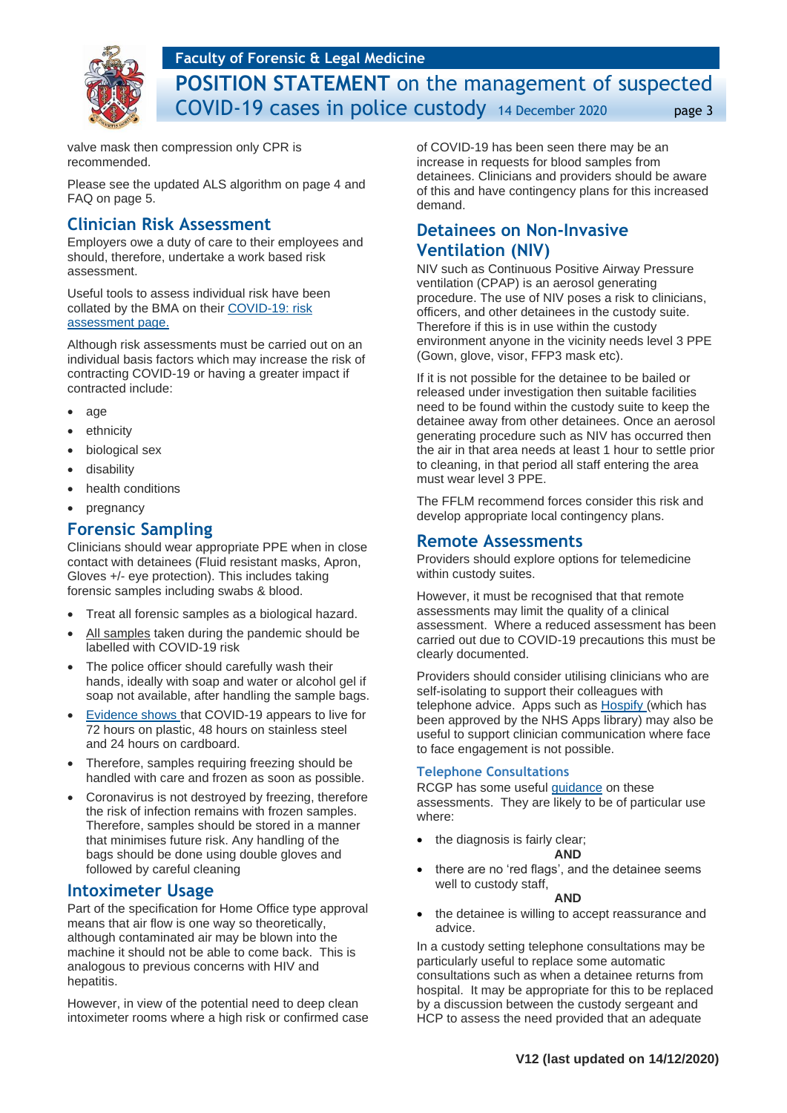

**POSITION STATEMENT** on the management of suspected COVID-19 cases in police custody <sup>14</sup> December 2020 page 3

valve mask then compression only CPR is recommended.

Please see the updated ALS algorithm on page 4 and FAQ on page 5.

## **Clinician Risk Assessment**

Employers owe a duty of care to their employees and should, therefore, undertake a work based risk assessment.

Useful tools to assess individual risk have been collated by the BMA on their [COVID-19: risk](https://www.bma.org.uk/advice-and-support/covid-19/your-health/covid-19-risk-assessment)  [assessment page.](https://www.bma.org.uk/advice-and-support/covid-19/your-health/covid-19-risk-assessment)

Although risk assessments must be carried out on an individual basis factors which may increase the risk of contracting COVID-19 or having a greater impact if contracted include:

- age
- ethnicity
- biological sex
- disability
- health conditions
- pregnancy

#### **Forensic Sampling**

Clinicians should wear appropriate PPE when in close contact with detainees (Fluid resistant masks, Apron, Gloves +/- eye protection). This includes taking forensic samples including swabs & blood.

- Treat all forensic samples as a biological hazard.
- All samples taken during the pandemic should be labelled with COVID-19 risk
- The police officer should carefully wash their hands, ideally with soap and water or alcohol gel if soap not available, after handling the sample bags.
- [Evidence shows](https://www.nejm.org/doi/full/10.1056/NEJMc2004973) that COVID-19 appears to live for 72 hours on plastic, 48 hours on stainless steel and 24 hours on cardboard.
- Therefore, samples requiring freezing should be handled with care and frozen as soon as possible.
- Coronavirus is not destroyed by freezing, therefore the risk of infection remains with frozen samples. Therefore, samples should be stored in a manner that minimises future risk. Any handling of the bags should be done using double gloves and followed by careful cleaning

## **Intoximeter Usage**

Part of the specification for Home Office type approval means that air flow is one way so theoretically, although contaminated air may be blown into the machine it should not be able to come back. This is analogous to previous concerns with HIV and hepatitis.

However, in view of the potential need to deep clean intoximeter rooms where a high risk or confirmed case

of COVID-19 has been seen there may be an increase in requests for blood samples from detainees. Clinicians and providers should be aware of this and have contingency plans for this increased demand.

## **Detainees on Non-Invasive Ventilation (NIV)**

NIV such as Continuous Positive Airway Pressure ventilation (CPAP) is an aerosol generating procedure. The use of NIV poses a risk to clinicians, officers, and other detainees in the custody suite. Therefore if this is in use within the custody environment anyone in the vicinity needs level 3 PPE (Gown, glove, visor, FFP3 mask etc).

If it is not possible for the detainee to be bailed or released under investigation then suitable facilities need to be found within the custody suite to keep the detainee away from other detainees. Once an aerosol generating procedure such as NIV has occurred then the air in that area needs at least 1 hour to settle prior to cleaning, in that period all staff entering the area must wear level 3 PPE.

The FFLM recommend forces consider this risk and develop appropriate local contingency plans.

#### **Remote Assessments**

Providers should explore options for telemedicine within custody suites.

However, it must be recognised that that remote assessments may limit the quality of a clinical assessment. Where a reduced assessment has been carried out due to COVID-19 precautions this must be clearly documented.

Providers should consider utilising clinicians who are self-isolating to support their colleagues with telephone advice. Apps such as [Hospify](https://www.hospify.com/) (which has been approved by the NHS Apps library) may also be useful to support clinician communication where face to face engagement is not possible.

#### **Telephone Consultations**

RCGP has some useful [guidance](https://www.rcgp.org.uk/about-us/rcgp-blog/top-10-tips-for-covid-19-telephone-consultations.aspx) on these assessments. They are likely to be of particular use where:

- the diagnosis is fairly clear; **AND**
- there are no 'red flags', and the detainee seems well to custody staff,

#### **AND**

the detainee is willing to accept reassurance and advice.

In a custody setting telephone consultations may be particularly useful to replace some automatic consultations such as when a detainee returns from hospital. It may be appropriate for this to be replaced by a discussion between the custody sergeant and HCP to assess the need provided that an adequate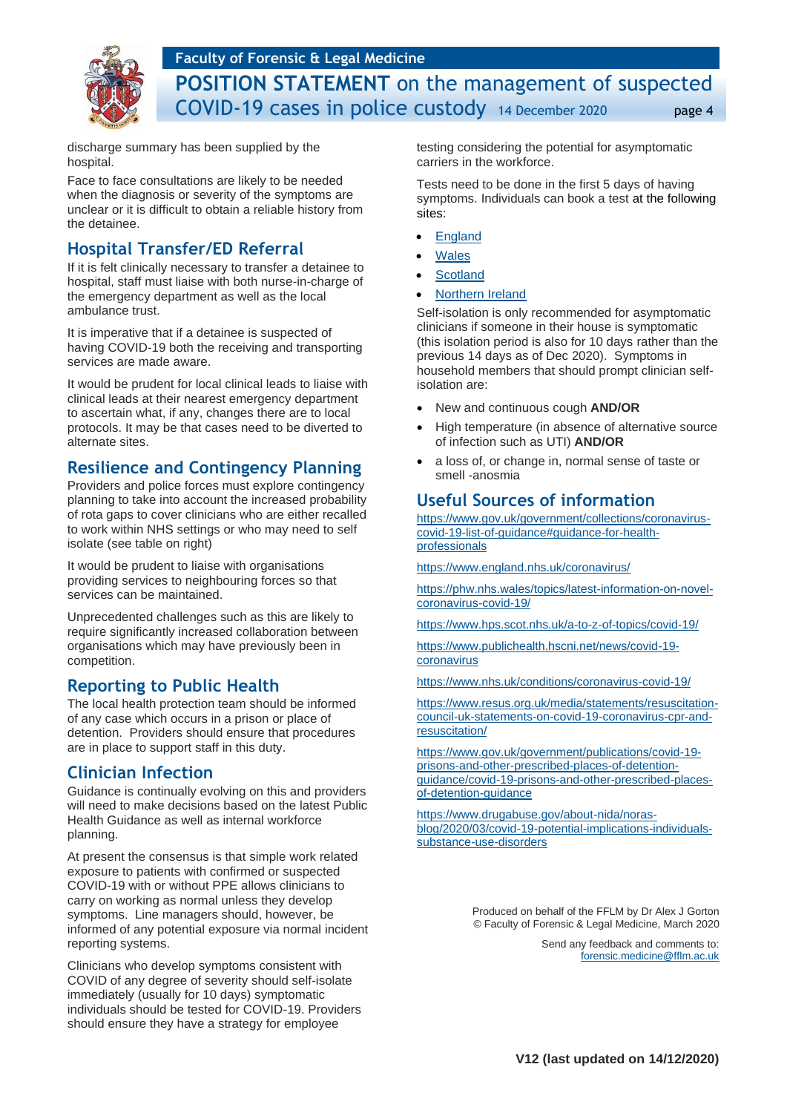

**Faculty of Forensic & Legal Medicine POSITION STATEMENT** on the management of suspected COVID-19 cases in police custody <sup>14</sup> December 2020 page 4

discharge summary has been supplied by the hospital.

Face to face consultations are likely to be needed when the diagnosis or severity of the symptoms are unclear or it is difficult to obtain a reliable history from the detainee.

## **Hospital Transfer/ED Referral**

If it is felt clinically necessary to transfer a detainee to hospital, staff must liaise with both nurse-in-charge of the emergency department as well as the local ambulance trust.

It is imperative that if a detainee is suspected of having COVID-19 both the receiving and transporting services are made aware.

It would be prudent for local clinical leads to liaise with clinical leads at their nearest emergency department to ascertain what, if any, changes there are to local protocols. It may be that cases need to be diverted to alternate sites.

## **Resilience and Contingency Planning**

Providers and police forces must explore contingency planning to take into account the increased probability of rota gaps to cover clinicians who are either recalled to work within NHS settings or who may need to self isolate (see table on right)

It would be prudent to liaise with organisations providing services to neighbouring forces so that services can be maintained.

Unprecedented challenges such as this are likely to require significantly increased collaboration between organisations which may have previously been in competition.

#### **Reporting to Public Health**

The local health protection team should be informed of any case which occurs in a prison or place of detention. Providers should ensure that procedures are in place to support staff in this duty.

## **Clinician Infection**

Guidance is continually evolving on this and providers will need to make decisions based on the latest Public Health Guidance as well as internal workforce planning.

At present the consensus is that simple work related exposure to patients with confirmed or suspected COVID-19 with or without PPE allows clinicians to carry on working as normal unless they develop symptoms. Line managers should, however, be informed of any potential exposure via normal incident reporting systems.

Clinicians who develop symptoms consistent with COVID of any degree of severity should self-isolate immediately (usually for 10 days) symptomatic individuals should be tested for COVID-19. Providers should ensure they have a strategy for employee

testing considering the potential for asymptomatic carriers in the workforce.

Tests need to be done in the first 5 days of having symptoms. Individuals can book a test at the following sites:

- **[England](https://www.nhs.uk/conditions/coronavirus-covid-19/testing-and-tracing/get-a-test-to-check-if-you-have-coronavirus/)**
- **[Wales](https://gov.wales/apply-coronavirus-test)**
- **[Scotland](https://www.nhsinform.scot/self-help-guides/self-help-guide-access-to-testing-for-coronavirus)**
- [Northern Ireland](https://www.publichealth.hscni.net/covid-19-coronavirus/testing-and-tracing-covid-19/testing-covid-19)

Self-isolation is only recommended for asymptomatic clinicians if someone in their house is symptomatic (this isolation period is also for 10 days rather than the previous 14 days as of Dec 2020). Symptoms in household members that should prompt clinician selfisolation are:

- New and continuous cough **AND/OR**
- High temperature (in absence of alternative source of infection such as UTI) **AND/OR**
- a loss of, or change in, normal sense of taste or smell -anosmia

## **Useful Sources of information**

[https://www.gov.uk/government/collections/coronavirus](https://www.gov.uk/government/collections/coronavirus-covid-19-list-of-guidance#guidance-for-health-professionals)[covid-19-list-of-guidance#guidance-for-health](https://www.gov.uk/government/collections/coronavirus-covid-19-list-of-guidance#guidance-for-health-professionals)[professionals](https://www.gov.uk/government/collections/coronavirus-covid-19-list-of-guidance#guidance-for-health-professionals)

<https://www.england.nhs.uk/coronavirus/>

[https://phw.nhs.wales/topics/latest-information-on-novel](https://phw.nhs.wales/topics/latest-information-on-novel-coronavirus-covid-19/)[coronavirus-covid-19/](https://phw.nhs.wales/topics/latest-information-on-novel-coronavirus-covid-19/)

<https://www.hps.scot.nhs.uk/a-to-z-of-topics/covid-19/>

[https://www.publichealth.hscni.net/news/covid-19](https://www.publichealth.hscni.net/news/covid-19-coronavirus) [coronavirus](https://www.publichealth.hscni.net/news/covid-19-coronavirus)

<https://www.nhs.uk/conditions/coronavirus-covid-19/>

[https://www.resus.org.uk/media/statements/resuscitation](https://www.resus.org.uk/media/statements/resuscitation-council-uk-statements-on-covid-19-coronavirus-cpr-and-resuscitation/)[council-uk-statements-on-covid-19-coronavirus-cpr-and](https://www.resus.org.uk/media/statements/resuscitation-council-uk-statements-on-covid-19-coronavirus-cpr-and-resuscitation/)[resuscitation/](https://www.resus.org.uk/media/statements/resuscitation-council-uk-statements-on-covid-19-coronavirus-cpr-and-resuscitation/)

[https://www.gov.uk/government/publications/covid-19](https://www.gov.uk/government/publications/covid-19-prisons-and-other-prescribed-places-of-detention-guidance/covid-19-prisons-and-other-prescribed-places-of-detention-guidance) [prisons-and-other-prescribed-places-of-detention](https://www.gov.uk/government/publications/covid-19-prisons-and-other-prescribed-places-of-detention-guidance/covid-19-prisons-and-other-prescribed-places-of-detention-guidance)[guidance/covid-19-prisons-and-other-prescribed-places](https://www.gov.uk/government/publications/covid-19-prisons-and-other-prescribed-places-of-detention-guidance/covid-19-prisons-and-other-prescribed-places-of-detention-guidance)[of-detention-guidance](https://www.gov.uk/government/publications/covid-19-prisons-and-other-prescribed-places-of-detention-guidance/covid-19-prisons-and-other-prescribed-places-of-detention-guidance)

[https://www.drugabuse.gov/about-nida/noras](https://www.drugabuse.gov/about-nida/noras-blog/2020/03/covid-19-potential-implications-individuals-substance-use-disorders)[blog/2020/03/covid-19-potential-implications-individuals](https://www.drugabuse.gov/about-nida/noras-blog/2020/03/covid-19-potential-implications-individuals-substance-use-disorders)[substance-use-disorders](https://www.drugabuse.gov/about-nida/noras-blog/2020/03/covid-19-potential-implications-individuals-substance-use-disorders)

> Produced on behalf of the FFLM by Dr Alex J Gorton © Faculty of Forensic & Legal Medicine, March 2020

> > Send any feedback and comments to: [forensic.medicine@fflm.ac.uk](mailto:forensic.medicine@fflm.ac.uk)